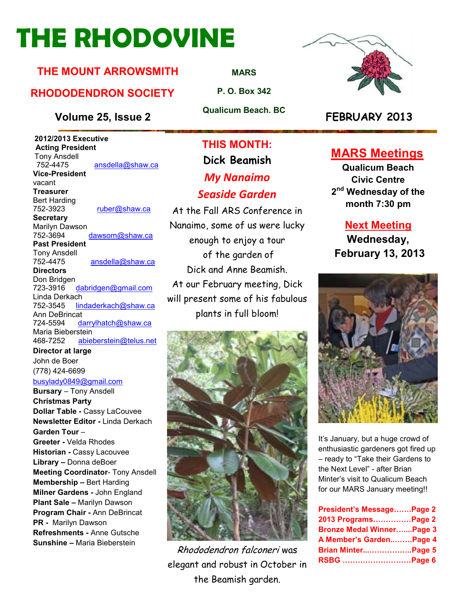# **THE RHODOVINE**

### **THE MOUNT ARROWSMITH**

### **RHODODENDRON SOCIETY**

#### **Volume 25, Issue 2 FEBRUARY 2013**

 **2012/2013 Executive Acting President**  Tony Ansdell<br>752-4475 ansdella@shaw.ca **Vice-President**  vacant **Treasurer**  Bert Harding<br>752-3923 ruber@shaw.ca **Secretary** Marilyn Dawson 752-3694 dawsom@shaw.ca **Past President**  Tony Ansdell ansdella@shaw.ca **Directors**  Don Bridgen<br>723-3916 dabridgen@gmail.com Linda Derkach 752-3545 lindaderkach@shaw.ca Ann DeBrincat 724-5594 darrylhatch@shaw.ca Maria Bieberstein 468-7252 abieberstein@telus.net **Director at large** 

John de Boer (778) 424-6699 busylady0849@gmail.com

**Bursary** – Tony Ansdell **Christmas Party Dollar Table -** Cassy LaCouvee **Newsletter Editor -** Linda Derkach **Garden Tour** – **Greeter -** Velda Rhodes **Historian -** Cassy Lacouvee **Library –** Donna deBoer **Meeting Coordinator**- Tony Ansdell **Membership –** Bert Harding **Milner Gardens -** John England **Plant Sale –** Marilyn Dawson **Program Chair -** Ann DeBrincat **PR -** Marilyn Dawson **Refreshments -** Anne Gutsche **Sunshine –** Maria Bieberstein

**THIS MONTH:** 

## **Dick Beamish**  *My Nanaimo Seaside Garden*

At the Fall ARS Conference in Nanaimo, some of us were lucky enough to enjoy a tour of the garden of Dick and Anne Beamish. At our February meeting, Dick will present some of his fabulous plants in full bloom!



Rhododendron falconeri was elegant and robust in October in the Beamish garden.



### **MARS Meetings**

**Qualicum Beach Civic Centre 2 nd Wednesday of the month 7:30 pm** 

#### **Next Meeting**

**Wednesday, February 13, 2013** 



It's January, but a huge crowd of enthusiastic gardeners got fired up – ready to "Take their Gardens to the Next Level" - after Brian Minter's visit to Qualicum Beach for our MARS January meeting!!

| President's MessagePage 2        |  |
|----------------------------------|--|
| 2013 ProgramsPage 2              |  |
| <b>Bronze Medal WinnerPage 3</b> |  |
| A Member's GardenPage 4          |  |
| Brian MinterPage 5               |  |
| RSBG Page 6                      |  |

**MARS**

**P. O. Box 342** 

**Qualicum Beach. BC**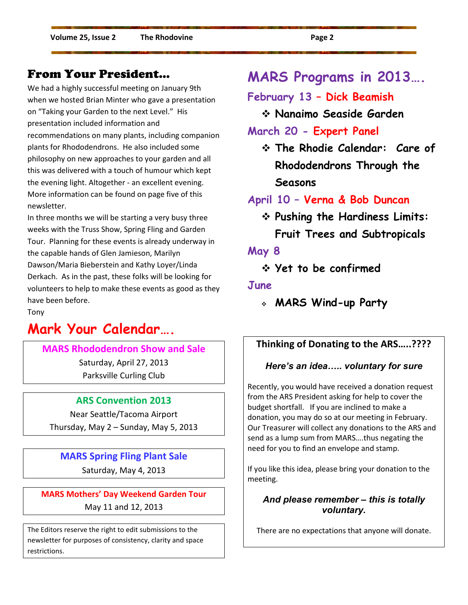#### From Your President…

We had a highly successful meeting on January 9th when we hosted Brian Minter who gave a presentation on "Taking your Garden to the next Level." His presentation included information and recommendations on many plants, including companion plants for Rhododendrons. He also included some philosophy on new approaches to your garden and all this was delivered with a touch of humour which kept the evening light. Altogether - an excellent evening. More information can be found on page five of this newsletter.

In three months we will be starting a very busy three weeks with the Truss Show, Spring Fling and Garden Tour. Planning for these events is already underway in the capable hands of Glen Jamieson, Marilyn Dawson/Maria Bieberstein and Kathy Loyer/Linda Derkach. As in the past, these folks will be looking for volunteers to help to make these events as good as they have been before.

Tony

## **Mark Your Calendar….**

**MARS Rhododendron Show and Sale**  Saturday, April 27, 2013 Parksville Curling Club

#### **ARS Convention 2013**

Near Seattle/Tacoma Airport Thursday, May 2 – Sunday, May 5, 2013

**MARS Spring Fling Plant Sale**  Saturday, May 4, 2013

**MARS Mothers' Day Weekend Garden Tour**  May 11 and 12, 2013

The Editors reserve the right to edit submissions to the newsletter for purposes of consistency, clarity and space restrictions.

## **MARS Programs in 2013….**

**February 13 – Dick Beamish** 

**Nanaimo Seaside Garden** 

#### **March 20 - Expert Panel**

 **The Rhodie Calendar: Care of Rhododendrons Through the Seasons** 

**April 10 – Verna & Bob Duncan**

 **Pushing the Hardiness Limits: Fruit Trees and Subtropicals** 

**May 8** 

**Yet to be confirmed** 

#### **June**

**MARS Wind-up Party**

#### **Thinking of Donating to the ARS…..????**

#### *Here's an idea.. voluntary for sure*

Recently, you would have received a donation request from the ARS President asking for help to cover the budget shortfall. If you are inclined to make a donation, you may do so at our meeting in February. Our Treasurer will collect any donations to the ARS and send as a lump sum from MARS….thus negating the need for you to find an envelope and stamp.

If you like this idea, please bring your donation to the meeting.

#### *And please remember – this is totally voluntary.*

There are no expectations that anyone will donate.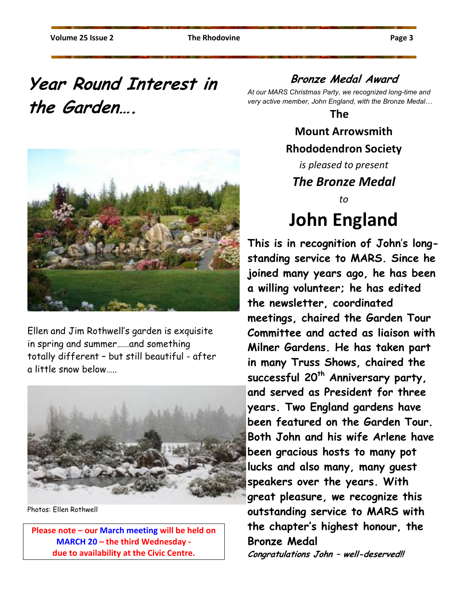## **Year Round Interest in the Garden….**



Ellen and Jim Rothwell's garden is exquisite in spring and summer……and something totally different – but still beautiful - after a little snow below…..



Photos: Ellen Rothwell

**Please note – our March meeting will be held on MARCH 20 – the third Wednesday due to availability at the Civic Centre.** 

### **Bronze Medal Award**

*At our MARS Christmas Party, we recognized long-time and*  very active member, John England, with the Bronze Medal...

**The** 

### **Mount Arrowsmith Rhododendron Society**

*is pleased to present The Bronze Medal* 

*to* 

## **John England**

**This is in recognition of John**'**s longstanding service to MARS. Since he joined many years ago, he has been a willing volunteer; he has edited the newsletter, coordinated meetings, chaired the Garden Tour Committee and acted as liaison with Milner Gardens. He has taken part in many Truss Shows, chaired the successful 20th Anniversary party, and served as President for three years. Two England gardens have been featured on the Garden Tour. Both John and his wife Arlene have been gracious hosts to many pot lucks and also many, many guest speakers over the years. With great pleasure, we recognize this outstanding service to MARS with the chapter's highest honour, the Bronze Medal Congratulations John – well-deserved!!**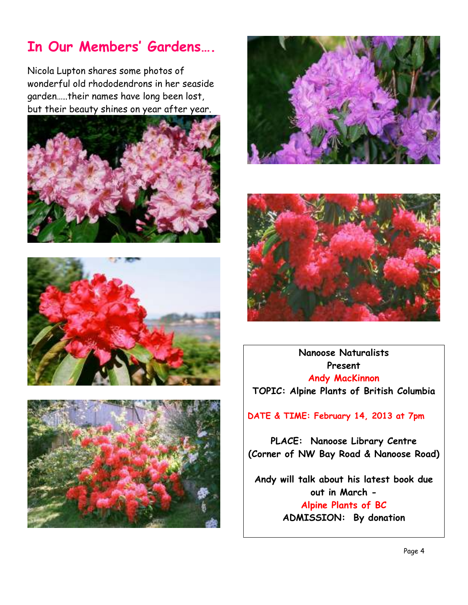## **In Our Members' Gardens….**

Nicola Lupton shares some photos of wonderful old rhododendrons in her seaside garden…..their names have long been lost, but their beauty shines on year after year.











**Nanoose Naturalists Present Andy MacKinnon TOPIC: Alpine Plants of British Columbia** 

**DATE & TIME: February 14, 2013 at 7pm** 

**PLACE: Nanoose Library Centre (Corner of NW Bay Road & Nanoose Road)** 

**Andy will talk about his latest book due out in March - Alpine Plants of BC ADMISSION: By donation**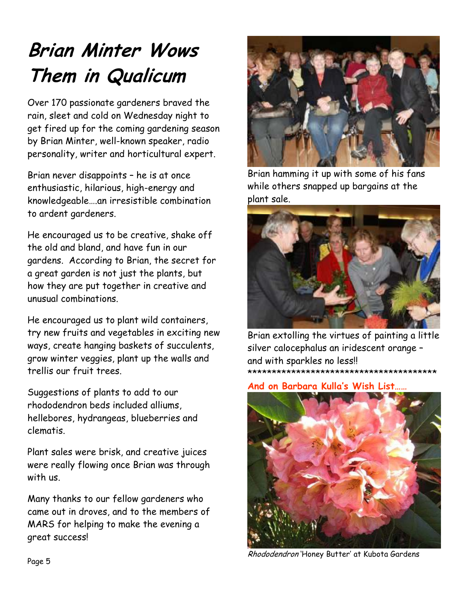## **Brian Minter Wows Them in Qualicum**

Over 170 passionate gardeners braved the rain, sleet and cold on Wednesday night to get fired up for the coming gardening season by Brian Minter, well-known speaker, radio personality, writer and horticultural expert.

Brian never disappoints – he is at once enthusiastic, hilarious, high-energy and knowledgeable….an irresistible combination to ardent gardeners.

He encouraged us to be creative, shake off the old and bland, and have fun in our gardens. According to Brian, the secret for a great garden is not just the plants, but how they are put together in creative and unusual combinations.

He encouraged us to plant wild containers, try new fruits and vegetables in exciting new ways, create hanging baskets of succulents, grow winter veggies, plant up the walls and trellis our fruit trees.

Suggestions of plants to add to our rhododendron beds included alliums, hellebores, hydrangeas, blueberries and clematis.

Plant sales were brisk, and creative juices were really flowing once Brian was through with us.

Many thanks to our fellow gardeners who came out in droves, and to the members of MARS for helping to make the evening a great success!



Brian hamming it up with some of his fans while others snapped up bargains at the plant sale.



Brian extolling the virtues of painting a little silver calocephalus an iridescent orange – and with sparkles no less!! \*\*\*\*\*\*\*\*\*\*\*\*\*\*\*\*\*\*\*\*\*\*\*\*\*\*\*\*\*\*\*\*\*\*\*\*\*\*\*

**And on Barbara Kulla's Wish List……** 



Rhododendron 'Honey Butter' at Kubota Gardens